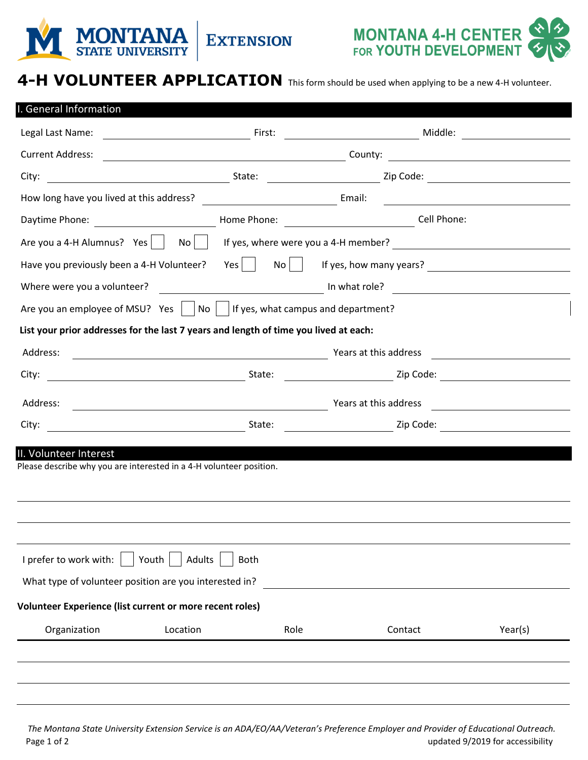



## **4-H VOLUNTEER APPLICATION** This form should be used when applying to be a new 4-H volunteer.

| . General Information                                                                |               |                                                 |                                                                                                                      |                                           |
|--------------------------------------------------------------------------------------|---------------|-------------------------------------------------|----------------------------------------------------------------------------------------------------------------------|-------------------------------------------|
| Legal Last Name:                                                                     |               | <u> 1980 - Johann Barnett, fransk politik (</u> | Middle:                                                                                                              |                                           |
| <b>Current Address:</b>                                                              |               | County:                                         | <u> 1989 - Johann Barn, mars eta bainar eta idazlea (</u>                                                            |                                           |
| City:                                                                                |               |                                                 |                                                                                                                      |                                           |
| How long have you lived at this address?                                             |               |                                                 | <u> 1980 - Jan Barbara Barat, prima popular popular popular popular popular popular popular popular popular popu</u> |                                           |
|                                                                                      |               |                                                 | Cell Phone:                                                                                                          |                                           |
| Are you a 4-H Alumnus? Yes $\vert$<br>No                                             |               |                                                 |                                                                                                                      |                                           |
| Have you previously been a 4-H Volunteer?                                            | No I<br>Yes l |                                                 | If yes, how many years?                                                                                              |                                           |
| Where were you a volunteer?                                                          |               |                                                 | <u> 1989 - Andrea State Barbara, política e a provincia de la provincia de la provincia de la provincia de la pr</u> |                                           |
| Are you an employee of MSU? Yes $\vert$   No     If yes, what campus and department? |               |                                                 |                                                                                                                      |                                           |
| List your prior addresses for the last 7 years and length of time you lived at each: |               |                                                 |                                                                                                                      |                                           |
| Address:<br><u> 2000 - Andrea Andrew Maria (h. 18</u>                                |               | Years at this address                           |                                                                                                                      |                                           |
| City:                                                                                | State:        |                                                 |                                                                                                                      |                                           |
| Address:<br><u> 1980 - Johann Barbara, martxa alemaniar arg</u>                      |               | Years at this address                           |                                                                                                                      |                                           |
| City:                                                                                | State:        |                                                 |                                                                                                                      | <u> 1980 - Jan Barat, prima politik (</u> |
| II. Volunteer Interest                                                               |               |                                                 |                                                                                                                      |                                           |
| Please describe why you are interested in a 4-H volunteer position.                  |               |                                                 |                                                                                                                      |                                           |
|                                                                                      |               |                                                 |                                                                                                                      |                                           |
|                                                                                      |               |                                                 |                                                                                                                      |                                           |
|                                                                                      |               |                                                 |                                                                                                                      |                                           |
| I prefer to work with:<br>Youth<br>Adults                                            | <b>Both</b>   |                                                 |                                                                                                                      |                                           |
| What type of volunteer position are you interested in?                               |               |                                                 |                                                                                                                      |                                           |
| <b>Volunteer Experience (list current or more recent roles)</b>                      |               |                                                 |                                                                                                                      |                                           |
|                                                                                      |               |                                                 |                                                                                                                      |                                           |
| Organization<br>Location                                                             | Role          |                                                 | Contact                                                                                                              | Year(s)                                   |
|                                                                                      |               |                                                 |                                                                                                                      |                                           |
|                                                                                      |               |                                                 |                                                                                                                      |                                           |

Page 1 of 2 *The Montana State University Extension Service is an ADA/EO/AA/Veteran's Preference Employer and Provider of Educational Outreach.*  updated 9/2019 for accessibility